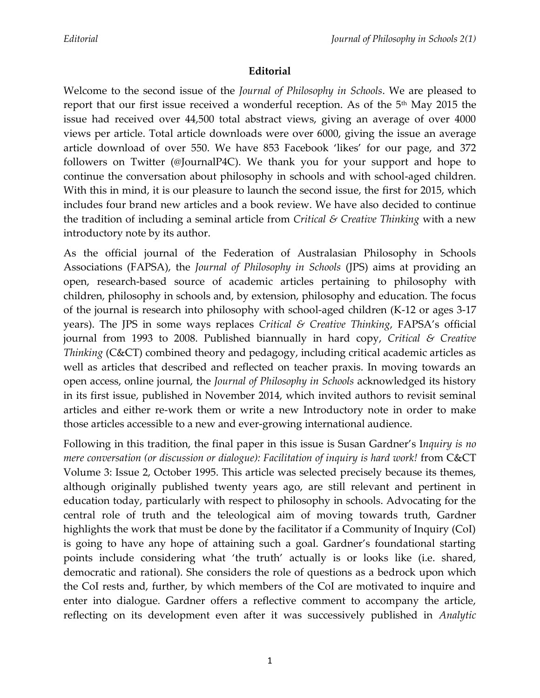## **Editorial**

Welcome to the second issue of the *Journal of Philosophy in Schools*. We are pleased to report that our first issue received a wonderful reception. As of the 5<sup>th</sup> May 2015 the issue had received over 44,500 total abstract views, giving an average of over 4000 views per article. Total article downloads were over 6000, giving the issue an average article download of over 550. We have 853 Facebook 'likes' for our page, and 372 followers on Twitter (@JournalP4C). We thank you for your support and hope to continue the conversation about philosophy in schools and with school-aged children. With this in mind, it is our pleasure to launch the second issue, the first for 2015, which includes four brand new articles and a book review. We have also decided to continue the tradition of including a seminal article from *Critical & Creative Thinking* with a new introductory note by its author.

As the official journal of the Federation of Australasian Philosophy in Schools Associations (FAPSA), the *Journal of Philosophy in Schools* (JPS) aims at providing an open, research-based source of academic articles pertaining to philosophy with children, philosophy in schools and, by extension, philosophy and education. The focus of the journal is research into philosophy with school-aged children (K-12 or ages 3-17 years). The JPS in some ways replaces *Critical & Creative Thinking*, FAPSA's official journal from 1993 to 2008. Published biannually in hard copy, *Critical & Creative Thinking* (C&CT) combined theory and pedagogy, including critical academic articles as well as articles that described and reflected on teacher praxis. In moving towards an open access, online journal, the *Journal of Philosophy in Schools* acknowledged its history in its first issue, published in November 2014, which invited authors to revisit seminal articles and either re-work them or write a new Introductory note in order to make those articles accessible to a new and ever-growing international audience.

Following in this tradition, the final paper in this issue is Susan Gardner's I*nquiry is no mere conversation (or discussion or dialogue): Facilitation of inquiry is hard work!* from C&CT Volume 3: Issue 2, October 1995. This article was selected precisely because its themes, although originally published twenty years ago, are still relevant and pertinent in education today, particularly with respect to philosophy in schools. Advocating for the central role of truth and the teleological aim of moving towards truth, Gardner highlights the work that must be done by the facilitator if a Community of Inquiry (CoI) is going to have any hope of attaining such a goal. Gardner's foundational starting points include considering what 'the truth' actually is or looks like (i.e. shared, democratic and rational). She considers the role of questions as a bedrock upon which the CoI rests and, further, by which members of the CoI are motivated to inquire and enter into dialogue. Gardner offers a reflective comment to accompany the article, reflecting on its development even after it was successively published in *Analytic*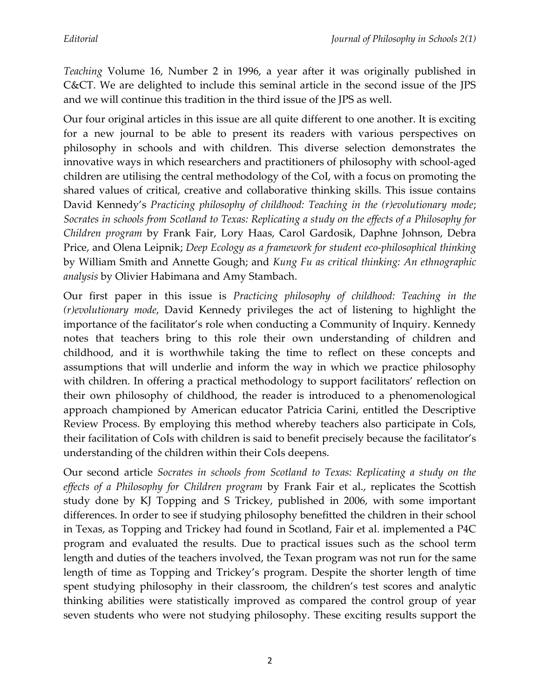*Teaching* Volume 16, Number 2 in 1996, a year after it was originally published in C&CT. We are delighted to include this seminal article in the second issue of the JPS and we will continue this tradition in the third issue of the JPS as well.

Our four original articles in this issue are all quite different to one another. It is exciting for a new journal to be able to present its readers with various perspectives on philosophy in schools and with children. This diverse selection demonstrates the innovative ways in which researchers and practitioners of philosophy with school-aged children are utilising the central methodology of the CoI, with a focus on promoting the shared values of critical, creative and collaborative thinking skills. This issue contains David Kennedy's *Practicing philosophy of childhood: Teaching in the (r)evolutionary mode*; *Socrates in schools from Scotland to Texas: Replicating a study on the effects of a Philosophy for Children program* by Frank Fair, Lory Haas, Carol Gardosik, Daphne Johnson, Debra Price, and Olena Leipnik; *Deep Ecology as a framework for student eco-philosophical thinking* by William Smith and Annette Gough; and *Kung Fu as critical thinking: An ethnographic analysis* by Olivier Habimana and Amy Stambach.

Our first paper in this issue is *Practicing philosophy of childhood: Teaching in the (r)evolutionary mode*, David Kennedy privileges the act of listening to highlight the importance of the facilitator's role when conducting a Community of Inquiry. Kennedy notes that teachers bring to this role their own understanding of children and childhood, and it is worthwhile taking the time to reflect on these concepts and assumptions that will underlie and inform the way in which we practice philosophy with children. In offering a practical methodology to support facilitators' reflection on their own philosophy of childhood, the reader is introduced to a phenomenological approach championed by American educator Patricia Carini, entitled the Descriptive Review Process. By employing this method whereby teachers also participate in CoIs, their facilitation of CoIs with children is said to benefit precisely because the facilitator's understanding of the children within their CoIs deepens.

Our second article *Socrates in schools from Scotland to Texas: Replicating a study on the effects of a Philosophy for Children program* by Frank Fair et al., replicates the Scottish study done by KJ Topping and S Trickey, published in 2006, with some important differences. In order to see if studying philosophy benefitted the children in their school in Texas, as Topping and Trickey had found in Scotland, Fair et al. implemented a P4C program and evaluated the results. Due to practical issues such as the school term length and duties of the teachers involved, the Texan program was not run for the same length of time as Topping and Trickey's program. Despite the shorter length of time spent studying philosophy in their classroom, the children's test scores and analytic thinking abilities were statistically improved as compared the control group of year seven students who were not studying philosophy. These exciting results support the